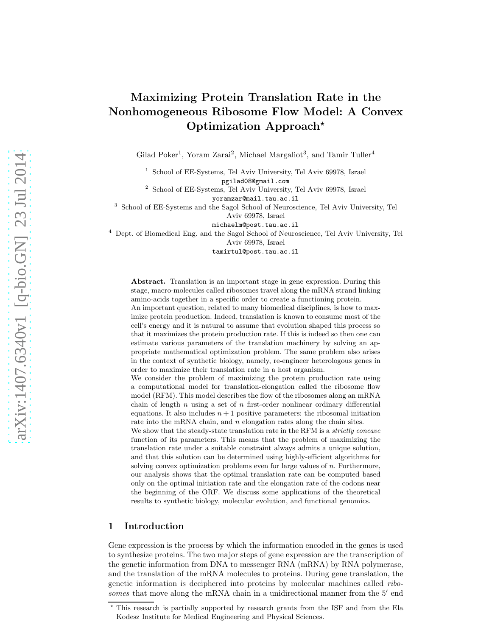# Maximizing Protein Translation Rate in the Nonhomogeneous Ribosome Flow Model: A Convex Optimization Approach<sup>\*</sup>

Gilad Poker<sup>1</sup>, Yoram Zarai<sup>2</sup>, Michael Margaliot<sup>3</sup>, and Tamir Tuller<sup>4</sup>

1 School of EE-Systems, Tel Aviv University, Tel Aviv 69978, Israel pgilad08@gmail.com

<sup>2</sup> School of EE-Systems, Tel Aviv University, Tel Aviv 69978, Israel yoramzar@mail.tau.ac.il

3 School of EE-Systems and the Sagol School of Neuroscience, Tel Aviv University, Tel Aviv 69978, Israel

michaelm@post.tau.ac.il

<sup>4</sup> Dept. of Biomedical Eng. and the Sagol School of Neuroscience, Tel Aviv University, Tel Aviv 69978, Israel

tamirtul@post.tau.ac.il

Abstract. Translation is an important stage in gene expression. During this stage, macro-molecules called ribosomes travel along the mRNA strand linking amino-acids together in a specific order to create a functioning protein.

An important question, related to many biomedical disciplines, is how to maximize protein production. Indeed, translation is known to consume most of the cell's energy and it is natural to assume that evolution shaped this process so that it maximizes the protein production rate. If this is indeed so then one can estimate various parameters of the translation machinery by solving an appropriate mathematical optimization problem. The same problem also arises in the context of synthetic biology, namely, re-engineer heterologous genes in order to maximize their translation rate in a host organism.

We consider the problem of maximizing the protein production rate using a computational model for translation-elongation called the ribosome flow model (RFM). This model describes the flow of the ribosomes along an mRNA chain of length n using a set of n first-order nonlinear ordinary differential equations. It also includes  $n + 1$  positive parameters: the ribosomal initiation rate into the mRNA chain, and  $n$  elongation rates along the chain sites.

We show that the steady-state translation rate in the RFM is a *strictly concave* function of its parameters. This means that the problem of maximizing the translation rate under a suitable constraint always admits a unique solution, and that this solution can be determined using highly-efficient algorithms for solving convex optimization problems even for large values of  $n$ . Furthermore, our analysis shows that the optimal translation rate can be computed based only on the optimal initiation rate and the elongation rate of the codons near the beginning of the ORF. We discuss some applications of the theoretical results to synthetic biology, molecular evolution, and functional genomics.

## 1 Introduction

Gene expression is the process by which the information encoded in the genes is used to synthesize proteins. The two major steps of gene expression are the transcription of the genetic information from DNA to messenger RNA (mRNA) by RNA polymerase, and the translation of the mRNA molecules to proteins. During gene translation, the genetic information is deciphered into proteins by molecular machines called ribosomes that move along the mRNA chain in a unidirectional manner from the 5' end

<sup>⋆</sup> This research is partially supported by research grants from the ISF and from the Ela Kodesz Institute for Medical Engineering and Physical Sciences.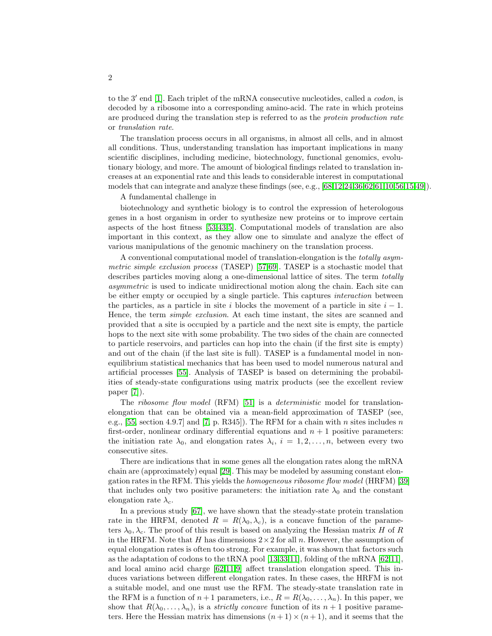to the 3' end [\[1\]](#page-18-0). Each triplet of the mRNA consecutive nucleotides, called a *codon*, is decoded by a ribosome into a corresponding amino-acid. The rate in which proteins are produced during the translation step is referred to as the *protein production rate* or translation rate.

The translation process occurs in all organisms, in almost all cells, and in almost all conditions. Thus, understanding translation has important implications in many scientific disciplines, including medicine, biotechnology, functional genomics, evolutionary biology, and more. The amount of biological findings related to translation increases at an exponential rate and this leads to considerable interest in computational models that can integrate and analyze these findings (see, e.g., [\[68](#page-20-0)[,12,](#page-18-1)[24,](#page-18-2)[36](#page-19-0)[,62,](#page-20-1)[61,](#page-20-2)[10](#page-18-3)[,56](#page-20-3)[,15,](#page-18-4)[49\]](#page-19-1)).

#### A fundamental challenge in

biotechnology and synthetic biology is to control the expression of heterologous genes in a host organism in order to synthesize new proteins or to improve certain aspects of the host fitness [\[53,](#page-20-4)[43](#page-19-2)[,5\]](#page-18-5). Computational models of translation are also important in this context, as they allow one to simulate and analyze the effect of various manipulations of the genomic machinery on the translation process.

A conventional computational model of translation-elongation is the totally asymmetric simple exclusion process (TASEP) [\[57,](#page-20-5)[69\]](#page-20-6). TASEP is a stochastic model that describes particles moving along a one-dimensional lattice of sites. The term totally asymmetric is used to indicate unidirectional motion along the chain. Each site can be either empty or occupied by a single particle. This captures interaction between the particles, as a particle in site i blocks the movement of a particle in site  $i - 1$ . Hence, the term simple exclusion. At each time instant, the sites are scanned and provided that a site is occupied by a particle and the next site is empty, the particle hops to the next site with some probability. The two sides of the chain are connected to particle reservoirs, and particles can hop into the chain (if the first site is empty) and out of the chain (if the last site is full). TASEP is a fundamental model in nonequilibrium statistical mechanics that has been used to model numerous natural and artificial processes [\[55\]](#page-20-7). Analysis of TASEP is based on determining the probabilities of steady-state configurations using matrix products (see the excellent review paper [\[7\]](#page-18-6)).

The *ribosome flow model* (RFM) [\[51\]](#page-20-8) is a *deterministic* model for translationelongation that can be obtained via a mean-field approximation of TASEP (see, e.g., [\[55,](#page-20-7) section 4.9.7] and [\[7,](#page-18-6) p. R345]). The RFM for a chain with n sites includes n first-order, nonlinear ordinary differential equations and  $n + 1$  positive parameters: the initiation rate  $\lambda_0$ , and elongation rates  $\lambda_i$ ,  $i = 1, 2, \ldots, n$ , between every two consecutive sites.

There are indications that in some genes all the elongation rates along the mRNA chain are (approximately) equal [\[29\]](#page-19-3). This may be modeled by assuming constant elongation rates in the RFM. This yields the homogeneous ribosome flow model (HRFM) [\[39\]](#page-19-4) that includes only two positive parameters: the initiation rate  $\lambda_0$  and the constant elongation rate  $\lambda_c$ .

In a previous study [\[67\]](#page-20-9), we have shown that the steady-state protein translation rate in the HRFM, denoted  $R = R(\lambda_0, \lambda_c)$ , is a concave function of the parameters  $\lambda_0, \lambda_c$ . The proof of this result is based on analyzing the Hessian matrix H of R in the HRFM. Note that H has dimensions  $2 \times 2$  for all n. However, the assumption of equal elongation rates is often too strong. For example, it was shown that factors such as the adaptation of codons to the tRNA pool [\[13](#page-18-7)[,33,](#page-19-5)[11\]](#page-18-8), folding of the mRNA  $[62,11]$  $[62,11]$ , and local amino acid charge [\[62](#page-20-1)[,11,](#page-18-8)[9\]](#page-18-9) affect translation elongation speed. This induces variations between different elongation rates. In these cases, the HRFM is not a suitable model, and one must use the RFM. The steady-state translation rate in the RFM is a function of  $n+1$  parameters, i.e.,  $R = R(\lambda_0, \ldots, \lambda_n)$ . In this paper, we show that  $R(\lambda_0, \ldots, \lambda_n)$ , is a *strictly concave* function of its  $n+1$  positive parameters. Here the Hessian matrix has dimensions  $(n+1) \times (n+1)$ , and it seems that the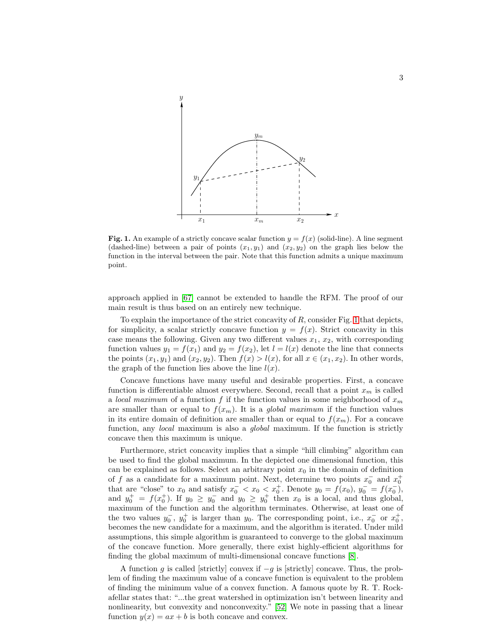

<span id="page-2-0"></span>Fig. 1. An example of a strictly concave scalar function  $y = f(x)$  (solid-line). A line segment (dashed-line) between a pair of points  $(x_1, y_1)$  and  $(x_2, y_2)$  on the graph lies below the function in the interval between the pair. Note that this function admits a unique maximum point.

approach applied in [\[67\]](#page-20-9) cannot be extended to handle the RFM. The proof of our main result is thus based on an entirely new technique.

To explain the importance of the strict concavity of  $R$ , consider Fig. [1](#page-2-0) that depicts, for simplicity, a scalar strictly concave function  $y = f(x)$ . Strict concavity in this case means the following. Given any two different values  $x_1, x_2$ , with corresponding function values  $y_1 = f(x_1)$  and  $y_2 = f(x_2)$ , let  $l = l(x)$  denote the line that connects the points  $(x_1, y_1)$  and  $(x_2, y_2)$ . Then  $f(x) > l(x)$ , for all  $x \in (x_1, x_2)$ . In other words, the graph of the function lies above the line  $l(x)$ .

Concave functions have many useful and desirable properties. First, a concave function is differentiable almost everywhere. Second, recall that a point  $x_m$  is called a local maximum of a function f if the function values in some neighborhood of  $x_m$ are smaller than or equal to  $f(x_m)$ . It is a *global maximum* if the function values in its entire domain of definition are smaller than or equal to  $f(x_m)$ . For a concave function, any *local* maximum is also a *global* maximum. If the function is strictly concave then this maximum is unique.

Furthermore, strict concavity implies that a simple "hill climbing" algorithm can be used to find the global maximum. In the depicted one dimensional function, this can be explained as follows. Select an arbitrary point  $x_0$  in the domain of definition of f as a candidate for a maximum point. Next, determine two points  $x_0^ _0^-$  and  $x_0^+$ that are "close" to  $x_0$  and satisfy  $x_0^- < x_0 < x_0^+$ . Denote  $y_0 = f(x_0)$ ,  $y_0^- = f(x_0^-)$  $_{0}^{-}$ ), and  $y_0^+ = f(x_0^+)$ . If  $y_0 \ge y_0^ \overline{0}$  and  $y_0 \geq y_0^+$  then  $x_0$  is a local, and thus global, maximum of the function and the algorithm terminates. Otherwise, at least one of the two values  $y_0^-, y_0^+$  is larger than  $y_0$ . The corresponding point, i.e.,  $x_0^-$  or  $x_0^+$ , becomes the new candidate for a maximum, and the algorithm is iterated. Under mild assumptions, this simple algorithm is guaranteed to converge to the global maximum of the concave function. More generally, there exist highly-efficient algorithms for finding the global maximum of multi-dimensional concave functions [\[8\]](#page-18-10).

A function g is called [strictly] convex if  $-g$  is [strictly] concave. Thus, the problem of finding the maximum value of a concave function is equivalent to the problem of finding the minimum value of a convex function. A famous quote by R. T. Rockafellar states that: "...the great watershed in optimization isn't between linearity and nonlinearity, but convexity and nonconvexity." [\[52\]](#page-20-10) We note in passing that a linear function  $y(x) = ax + b$  is both concave and convex.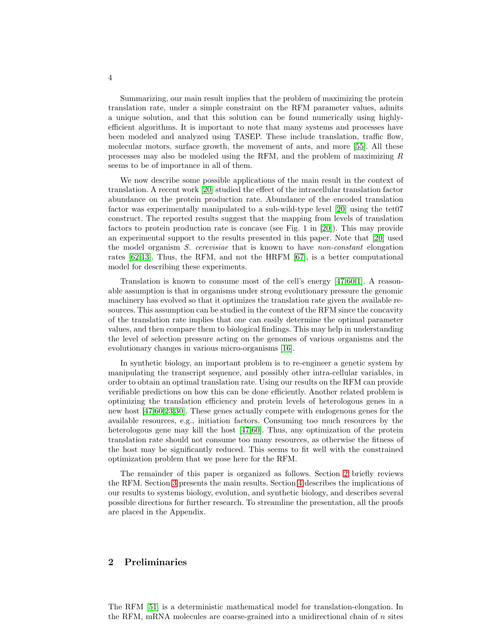Summarizing, our main result implies that the problem of maximizing the protein translation rate, under a simple constraint on the RFM parameter values, admits a unique solution, and that this solution can be found numerically using highlyefficient algorithms. It is important to note that many systems and processes have been modeled and analyzed using TASEP. These include translation, traffic flow, molecular motors, surface growth, the movement of ants, and more [\[55\]](#page-20-7). All these processes may also be modeled using the RFM, and the problem of maximizing R seems to be of importance in all of them.

We now describe some possible applications of the main result in the context of translation. A recent work [\[20\]](#page-18-11) studied the effect of the intracellular translation factor abundance on the protein production rate. Abundance of the encoded translation factor was experimentally manipulated to a sub-wild-type level [\[20\]](#page-18-11) using the tet07 construct. The reported results suggest that the mapping from levels of translation factors to protein production rate is concave (see Fig. 1 in [\[20\]](#page-18-11)). This may provide an experimental support to the results presented in this paper. Note that [\[20\]](#page-18-11) used the model organism S. cerevisiae that is known to have non-constant elongation rates [\[62,](#page-20-1)[13\]](#page-18-7). Thus, the RFM, and not the HRFM [\[67\]](#page-20-9), is a better computational model for describing these experiments.

Translation is known to consume most of the cell's energy [\[47,](#page-19-6)[60](#page-20-11)[,1\]](#page-18-0). A reasonable assumption is that in organisms under strong evolutionary pressure the genomic machinery has evolved so that it optimizes the translation rate given the available resources. This assumption can be studied in the context of the RFM since the concavity of the translation rate implies that one can easily determine the optimal parameter values, and then compare them to biological findings. This may help in understanding the level of selection pressure acting on the genomes of various organisms and the evolutionary changes in various micro-organisms [\[16\]](#page-18-12).

In synthetic biology, an important problem is to re-engineer a genetic system by manipulating the transcript sequence, and possibly other intra-cellular variables, in order to obtain an optimal translation rate. Using our results on the RFM can provide verifiable predictions on how this can be done efficiently. Another related problem is optimizing the translation efficiency and protein levels of heterologous genes in a new host [\[47](#page-19-6)[,60](#page-20-11)[,23](#page-18-13)[,30\]](#page-19-7). These genes actually compete with endogenous genes for the available resources, e.g., initiation factors. Consuming too much resources by the heterologous gene may kill the host [\[47,](#page-19-6)[60\]](#page-20-11). Thus, any optimization of the protein translation rate should not consume too many resources, as otherwise the fitness of the host may be significantly reduced. This seems to fit well with the constrained optimization problem that we pose here for the RFM.

The remainder of this paper is organized as follows. Section [2](#page-3-0) briefly reviews the RFM. Section [3](#page-6-0) presents the main results. Section [4](#page-10-0) describes the implications of our results to systems biology, evolution, and synthetic biology, and describes several possible directions for further research. To streamline the presentation, all the proofs are placed in the Appendix.

## <span id="page-3-0"></span>2 Preliminaries

The RFM [\[51\]](#page-20-8) is a deterministic mathematical model for translation-elongation. In the RFM, mRNA molecules are coarse-grained into a unidirectional chain of  $n$  sites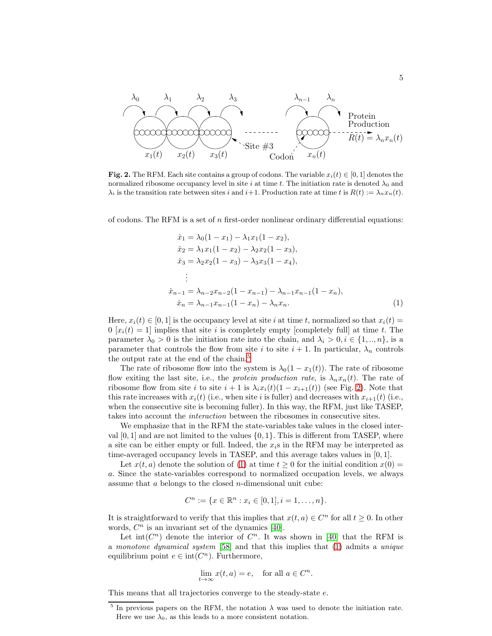

<span id="page-4-1"></span>**Fig. 2.** The RFM. Each site contains a group of codons. The variable  $x_i(t) \in [0,1]$  denotes the normalized ribosome occupancy level in site i at time t. The initiation rate is denoted  $\lambda_0$  and  $\lambda_i$  is the transition rate between sites i and i+1. Production rate at time t is  $R(t) := \lambda_n x_n(t)$ .

of codons. The RFM is a set of  $n$  first-order nonlinear ordinary differential equations:

<span id="page-4-2"></span>
$$
\begin{aligned}\n\dot{x}_1 &= \lambda_0 (1 - x_1) - \lambda_1 x_1 (1 - x_2), \\
\dot{x}_2 &= \lambda_1 x_1 (1 - x_2) - \lambda_2 x_2 (1 - x_3), \\
\dot{x}_3 &= \lambda_2 x_2 (1 - x_3) - \lambda_3 x_3 (1 - x_4), \\
&\vdots \\
\dot{x}_{n-1} &= \lambda_{n-2} x_{n-2} (1 - x_{n-1}) - \lambda_{n-1} x_{n-1} (1 - x_n), \\
\dot{x}_n &= \lambda_{n-1} x_{n-1} (1 - x_n) - \lambda_n x_n.\n\end{aligned}\n\tag{1}
$$

Here,  $x_i(t) \in [0,1]$  is the occupancy level at site i at time t, normalized so that  $x_i(t) =$  $0 [x_i(t) = 1]$  implies that site i is completely empty [completely full] at time t. The parameter  $\lambda_0 > 0$  is the initiation rate into the chain, and  $\lambda_i > 0, i \in \{1, ..., n\}$ , is a parameter that controls the flow from site i to site  $i + 1$ . In particular,  $\lambda_n$  controls the output rate at the end of the chain.<sup>[5](#page-4-0)</sup>

The rate of ribosome flow into the system is  $\lambda_0(1-x_1(t))$ . The rate of ribosome flow exiting the last site, i.e., the protein production rate, is  $\lambda_n x_n(t)$ . The rate of ribosome flow from site i to site  $i + 1$  is  $\lambda_i x_i(t)(1 - x_{i+1}(t))$  (see Fig. [2\)](#page-4-1). Note that this rate increases with  $x_i(t)$  (i.e., when site i is fuller) and decreases with  $x_{i+1}(t)$  (i.e., when the consecutive site is becoming fuller). In this way, the RFM, just like TASEP, takes into account the interaction between the ribosomes in consecutive sites.

We emphasize that in the RFM the state-variables take values in the closed interval  $[0, 1]$  and are not limited to the values  $\{0, 1\}$ . This is different from TASEP, where a site can be either empty or full. Indeed, the  $x_i$ s in the RFM may be interpreted as time-averaged occupancy levels in TASEP, and this average takes values in [0, 1].

Let  $x(t, a)$  denote the solution of [\(1\)](#page-4-2) at time  $t \ge 0$  for the initial condition  $x(0) =$ a. Since the state-variables correspond to normalized occupation levels, we always assume that a belongs to the closed n-dimensional unit cube:

$$
C^n := \{ x \in \mathbb{R}^n : x_i \in [0,1], i = 1, \dots, n \}.
$$

It is straightforward to verify that this implies that  $x(t, a) \in C^n$  for all  $t \geq 0$ . In other words,  $C<sup>n</sup>$  is an invariant set of the dynamics [\[40\]](#page-19-8).

Let int( $C<sup>n</sup>$ ) denote the interior of  $C<sup>n</sup>$ . It was shown in [\[40\]](#page-19-8) that the RFM is a monotone dynamical system [\[58\]](#page-20-12) and that this implies that [\(1\)](#page-4-2) admits a unique equilibrium point  $e \in \text{int}(C^n)$ . Furthermore,

$$
\lim_{t \to \infty} x(t, a) = e, \text{ for all } a \in C^n.
$$

This means that all trajectories converge to the steady-state e.

<span id="page-4-0"></span><sup>&</sup>lt;sup>5</sup> In previous papers on the RFM, the notation  $\lambda$  was used to denote the initiation rate. Here we use  $\lambda_0$ , as this leads to a more consistent notation.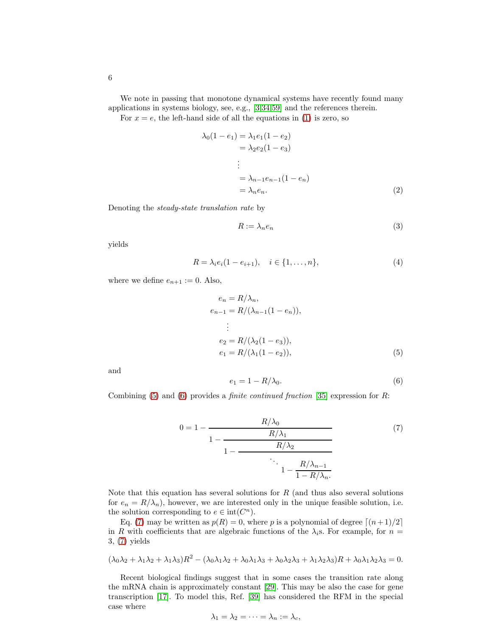We note in passing that monotone dynamical systems have recently found many applications in systems biology, see, e.g., [\[3,](#page-18-14)[34](#page-19-9)[,59\]](#page-20-13) and the references therein.

For  $x = e$ , the left-hand side of all the equations in [\(1\)](#page-4-2) is zero, so

$$
\lambda_0(1 - e_1) = \lambda_1 e_1 (1 - e_2)
$$
  
\n
$$
= \lambda_2 e_2 (1 - e_3)
$$
  
\n
$$
\vdots
$$
  
\n
$$
= \lambda_{n-1} e_{n-1} (1 - e_n)
$$
  
\n
$$
= \lambda_n e_n.
$$
 (2)

Denoting the steady-state translation rate by

$$
R := \lambda_n e_n \tag{3}
$$

yields

$$
R = \lambda_i e_i (1 - e_{i+1}), \quad i \in \{1, \dots, n\},
$$
\n(4)

where we define  $e_{n+1} := 0$ . Also,

$$
e_n = R/\lambda_n,
$$
  
\n
$$
e_{n-1} = R/(\lambda_{n-1}(1 - e_n)),
$$
  
\n
$$
\vdots
$$
  
\n
$$
e_2 = R/(\lambda_2(1 - e_3)),
$$
  
\n
$$
e_1 = R/(\lambda_1(1 - e_2)),
$$
\n(5)

and

<span id="page-5-2"></span><span id="page-5-1"></span><span id="page-5-0"></span>
$$
e_1 = 1 - R/\lambda_0. \tag{6}
$$

Combining  $(5)$  and  $(6)$  provides a *finite continued fraction* [\[35\]](#page-19-10) expression for R:

$$
0 = 1 - \frac{R/\lambda_0}{1 - \frac{R/\lambda_1}{1 - \frac{R/\lambda_2}{1 - \frac{R/\lambda_{n-1}}{1 - R/\lambda_n}}}}
$$
(7)

Note that this equation has several solutions for  $R$  (and thus also several solutions for  $e_n = R/\lambda_n$ , however, we are interested only in the unique feasible solution, i.e. the solution corresponding to  $e \in \text{int}(C^n)$ .

Eq. [\(7\)](#page-5-2) may be written as  $p(R) = 0$ , where p is a polynomial of degree  $\lceil (n+1)/2 \rceil$ in R with coefficients that are algebraic functions of the  $\lambda_i$ s. For example, for  $n =$ 3, [\(7\)](#page-5-2) yields

$$
(\lambda_0\lambda_2 + \lambda_1\lambda_2 + \lambda_1\lambda_3)R^2 - (\lambda_0\lambda_1\lambda_2 + \lambda_0\lambda_1\lambda_3 + \lambda_0\lambda_2\lambda_3 + \lambda_1\lambda_2\lambda_3)R + \lambda_0\lambda_1\lambda_2\lambda_3 = 0.
$$

Recent biological findings suggest that in some cases the transition rate along the mRNA chain is approximately constant [\[29\]](#page-19-3). This may be also the case for gene transcription [\[17\]](#page-18-15). To model this, Ref. [\[39\]](#page-19-4) has considered the RFM in the special case where

$$
\lambda_1 = \lambda_2 = \cdots = \lambda_n := \lambda_c,
$$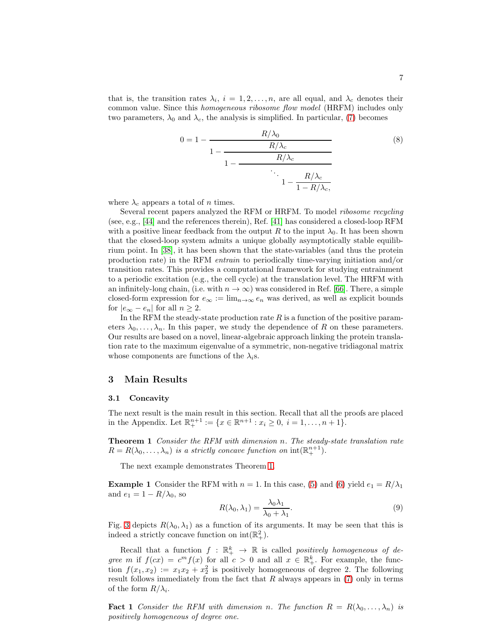that is, the transition rates  $\lambda_i$ ,  $i = 1, 2, \ldots, n$ , are all equal, and  $\lambda_c$  denotes their common value. Since this homogeneous ribosome flow model (HRFM) includes only two parameters,  $\lambda_0$  and  $\lambda_c$ , the analysis is simplified. In particular, [\(7\)](#page-5-2) becomes

$$
0 = 1 - \frac{R/\lambda_0}{1 - \frac{R/\lambda_c}{1 - \frac{R/\lambda_c}{1 - \frac{R/\lambda_c}{1 - \frac{R/\lambda_c}{1 - R/\lambda_c}}}}}
$$
(8)

where  $\lambda_c$  appears a total of n times.

Several recent papers analyzed the RFM or HRFM. To model ribosome recycling (see, e.g., [\[44\]](#page-19-11) and the references therein), Ref. [\[41\]](#page-19-12) has considered a closed-loop RFM with a positive linear feedback from the output R to the input  $\lambda_0$ . It has been shown that the closed-loop system admits a unique globally asymptotically stable equilibrium point. In [\[38\]](#page-19-13), it has been shown that the state-variables (and thus the protein production rate) in the RFM entrain to periodically time-varying initiation and/or transition rates. This provides a computational framework for studying entrainment to a periodic excitation (e.g., the cell cycle) at the translation level. The HRFM with an infinitely-long chain, (i.e. with  $n \to \infty$ ) was considered in Ref. [\[66\]](#page-20-14). There, a simple closed-form expression for  $e_{\infty} := \lim_{n \to \infty} e_n$  was derived, as well as explicit bounds for  $|e_{\infty} - e_n|$  for all  $n \geq 2$ .

In the RFM the steady-state production rate  $R$  is a function of the positive parameters  $\lambda_0, \ldots, \lambda_n$ . In this paper, we study the dependence of R on these parameters. Our results are based on a novel, linear-algebraic approach linking the protein translation rate to the maximum eigenvalue of a symmetric, non-negative tridiagonal matrix whose components are functions of the  $\lambda_i$ s.

## <span id="page-6-0"></span>3 Main Results

#### 3.1 Concavity

The next result is the main result in this section. Recall that all the proofs are placed in the Appendix. Let  $\mathbb{R}^{n+1}_{+} := \{x \in \mathbb{R}^{n+1} : x_i \geq 0, i = 1, ..., n+1\}.$ 

Theorem 1 Consider the RFM with dimension n. The steady-state translation rate  $R = R(\lambda_0, \ldots, \lambda_n)$  is a strictly concave function on  $\text{int}(\mathbb{R}^{n+1}_+)$ .

The next example demonstrates Theorem [1.](#page-6-1)

**Example 1** Consider the RFM with  $n = 1$ . In this case, [\(5\)](#page-5-0) and [\(6\)](#page-5-1) yield  $e_1 = R/\lambda_1$ and  $e_1 = 1 - R/\lambda_0$ , so

<span id="page-6-1"></span>
$$
R(\lambda_0, \lambda_1) = \frac{\lambda_0 \lambda_1}{\lambda_0 + \lambda_1}.
$$
\n(9)

Fig. [3](#page-7-0) depicts  $R(\lambda_0, \lambda_1)$  as a function of its arguments. It may be seen that this is indeed a strictly concave function on  $\text{int}(\mathbb{R}^2_+).$ 

Recall that a function  $f : \mathbb{R}^k_+ \to \mathbb{R}$  is called positively homogeneous of degree m if  $f(cx) = c^m f(x)$  for all  $c > 0$  and all  $x \in \mathbb{R}^k_+$ . For example, the function  $f(x_1, x_2) := x_1 x_2 + x_2^2$  is positively homogeneous of degree 2. The following result follows immediately from the fact that  $R$  always appears in  $(7)$  only in terms of the form  $R/\lambda_i$ .

<span id="page-6-2"></span>**Fact 1** Consider the RFM with dimension n. The function  $R = R(\lambda_0, \ldots, \lambda_n)$  is positively homogeneous of degree one.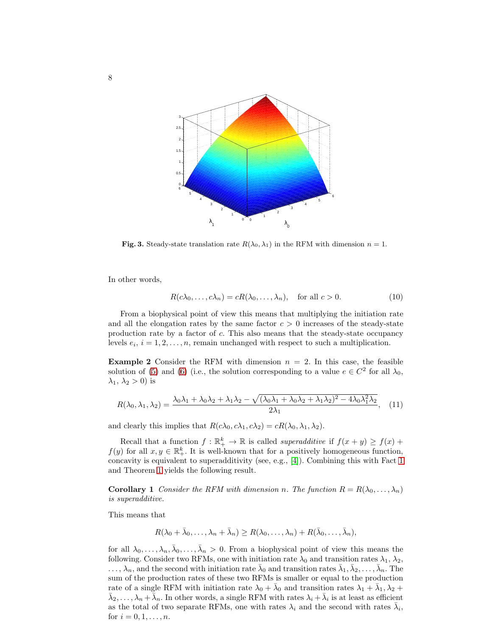

<span id="page-7-0"></span>Fig. 3. Steady-state translation rate  $R(\lambda_0, \lambda_1)$  in the RFM with dimension  $n = 1$ .

In other words,

$$
R(c\lambda_0, \dots, c\lambda_n) = cR(\lambda_0, \dots, \lambda_n), \quad \text{for all } c > 0.
$$
 (10)

From a biophysical point of view this means that multiplying the initiation rate and all the elongation rates by the same factor  $c > 0$  increases of the steady-state production rate by a factor of c. This also means that the steady-state occupancy levels  $e_i$ ,  $i = 1, 2, \ldots, n$ , remain unchanged with respect to such a multiplication.

**Example 2** Consider the RFM with dimension  $n = 2$ . In this case, the feasible solution of [\(5\)](#page-5-0) and [\(6\)](#page-5-1) (i.e., the solution corresponding to a value  $e \in C^2$  for all  $\lambda_0$ ,  $\lambda_1, \lambda_2 > 0$ ) is

<span id="page-7-1"></span>
$$
R(\lambda_0, \lambda_1, \lambda_2) = \frac{\lambda_0 \lambda_1 + \lambda_0 \lambda_2 + \lambda_1 \lambda_2 - \sqrt{(\lambda_0 \lambda_1 + \lambda_0 \lambda_2 + \lambda_1 \lambda_2)^2 - 4 \lambda_0 \lambda_1^2 \lambda_2}}{2 \lambda_1},
$$
 (11)

and clearly this implies that  $R(c\lambda_0, c\lambda_1, c\lambda_2) = cR(\lambda_0, \lambda_1, \lambda_2)$ .

Recall that a function  $f : \mathbb{R}^k_+ \to \mathbb{R}$  is called *superadditive* if  $f(x + y) \ge f(x) +$  $f(y)$  for all  $x, y \in \mathbb{R}^k_+$ . It is well-known that for a positively homogeneous function, concavity is equivalent to superadditivity (see, e.g., [\[4\]](#page-18-16)). Combining this with Fact [1](#page-6-2) and Theorem [1](#page-6-1) yields the following result.

**Corollary 1** Consider the RFM with dimension n. The function  $R = R(\lambda_0, \ldots, \lambda_n)$ is superadditive.

This means that

$$
R(\lambda_0 + \bar{\lambda}_0, \dots, \lambda_n + \bar{\lambda}_n) \ge R(\lambda_0, \dots, \lambda_n) + R(\bar{\lambda}_0, \dots, \bar{\lambda}_n),
$$

for all  $\lambda_0, \ldots, \lambda_n, \bar{\lambda}_0, \ldots, \bar{\lambda}_n > 0$ . From a biophysical point of view this means the following. Consider two RFMs, one with initiation rate  $\lambda_0$  and transition rates  $\lambda_1$ ,  $\lambda_2$ ,  $\ldots, \lambda_n$ , and the second with initiation rate  $\bar{\lambda}_0$  and transition rates  $\bar{\lambda}_1, \bar{\lambda}_2, \ldots, \bar{\lambda}_n$ . The sum of the production rates of these two RFMs is smaller or equal to the production rate of a single RFM with initiation rate  $\lambda_0 + \bar{\lambda}_0$  and transition rates  $\lambda_1 + \bar{\lambda}_1, \lambda_2 +$  $\bar{\lambda}_2,\ldots,\lambda_n+\bar{\lambda}_n$ . In other words, a single RFM with rates  $\lambda_i+\bar{\lambda}_i$  is at least as efficient as the total of two separate RFMs, one with rates  $\lambda_i$  and the second with rates  $\bar{\lambda}_i$ , for  $i = 0, 1, ..., n$ .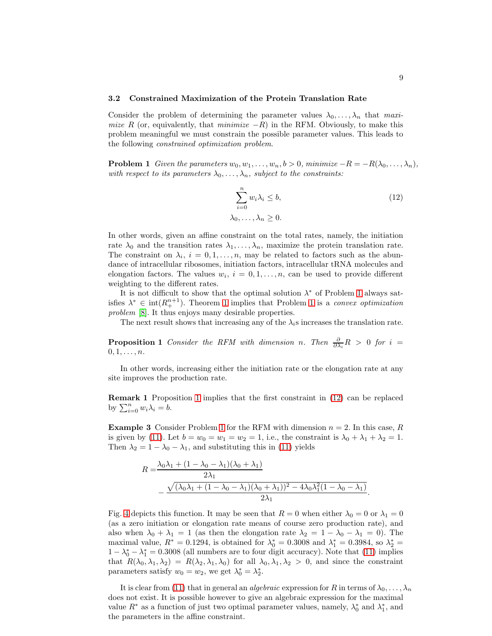#### 3.2 Constrained Maximization of the Protein Translation Rate

Consider the problem of determining the parameter values  $\lambda_0, \ldots, \lambda_n$  that maximize R (or, equivalently, that minimize  $-R$ ) in the RFM. Obviously, to make this problem meaningful we must constrain the possible parameter values. This leads to the following constrained optimization problem.

**Problem 1** Given the parameters  $w_0, w_1, \ldots, w_n, b > 0$ , minimize  $-R = -R(\lambda_0, \ldots, \lambda_n)$ , with respect to its parameters  $\lambda_0, \ldots, \lambda_n$ , subject to the constraints:

<span id="page-8-2"></span><span id="page-8-0"></span>
$$
\sum_{i=0}^{n} w_i \lambda_i \le b,
$$
  
\n
$$
\lambda_0, \dots, \lambda_n \ge 0.
$$
\n(12)

.

In other words, given an affine constraint on the total rates, namely, the initiation rate  $\lambda_0$  and the transition rates  $\lambda_1, \ldots, \lambda_n$ , maximize the protein translation rate. The constraint on  $\lambda_i$ ,  $i = 0, 1, ..., n$ , may be related to factors such as the abundance of intracellular ribosomes, initiation factors, intracellular tRNA molecules and elongation factors. The values  $w_i$ ,  $i = 0, 1, \ldots, n$ , can be used to provide different weighting to the different rates.

It is not difficult to show that the optimal solution  $\lambda^*$  of Problem [1](#page-8-0) always satisfies  $\lambda^* \in \text{int}(R_+^{n+1})$ . Theorem [1](#page-8-0) implies that Problem 1 is a convex optimization problem [\[8\]](#page-18-10). It thus enjoys many desirable properties.

<span id="page-8-1"></span>The next result shows that increasing any of the  $\lambda_i$ s increases the translation rate.

**Proposition 1** Consider the RFM with dimension n. Then  $\frac{\partial}{\partial \lambda_i}R > 0$  for  $i =$  $0, 1, \ldots, n$ .

In other words, increasing either the initiation rate or the elongation rate at any site improves the production rate.

Remark 1 Proposition [1](#page-8-1) implies that the first constraint in [\(12\)](#page-8-2) can be replaced by  $\sum_{i=0}^{n} w_i \lambda_i = b$ .

**Example 3** Consider Problem [1](#page-8-0) for the RFM with dimension  $n = 2$ . In this case, R is given by [\(11\)](#page-7-1). Let  $b = w_0 = w_1 = w_2 = 1$ , i.e., the constraint is  $\lambda_0 + \lambda_1 + \lambda_2 = 1$ . Then  $\lambda_2 = 1 - \lambda_0 - \lambda_1$ , and substituting this in [\(11\)](#page-7-1) yields

$$
R = \frac{\lambda_0 \lambda_1 + (1 - \lambda_0 - \lambda_1)(\lambda_0 + \lambda_1)}{2\lambda_1}
$$

$$
- \frac{\sqrt{(\lambda_0 \lambda_1 + (1 - \lambda_0 - \lambda_1)(\lambda_0 + \lambda_1))^2 - 4\lambda_0 \lambda_1^2 (1 - \lambda_0 - \lambda_1)}}{2\lambda_1}
$$

Fig. [4](#page-9-0) depicts this function. It may be seen that  $R = 0$  when either  $\lambda_0 = 0$  or  $\lambda_1 = 0$ (as a zero initiation or elongation rate means of course zero production rate), and also when  $\lambda_0 + \lambda_1 = 1$  (as then the elongation rate  $\lambda_2 = 1 - \lambda_0 - \lambda_1 = 0$ ). The maximal value,  $R^* = 0.1294$ , is obtained for  $\lambda_0^* = 0.3008$  and  $\lambda_1^* = 0.3984$ , so  $\lambda_2^* =$  $1 - \lambda_0^* - \lambda_1^* = 0.3008$  (all numbers are to four digit accuracy). Note that [\(11\)](#page-7-1) implies that  $R(\lambda_0, \lambda_1, \lambda_2) = R(\lambda_2, \lambda_1, \lambda_0)$  for all  $\lambda_0, \lambda_1, \lambda_2 > 0$ , and since the constraint parameters satisfy  $w_0 = w_2$ , we get  $\lambda_0^* = \lambda_2^*$ .

<span id="page-8-3"></span>It is clear from [\(11\)](#page-7-1) that in general an *algebraic* expression for R in terms of  $\lambda_0, \ldots, \lambda_n$ does not exist. It is possible however to give an algebraic expression for the maximal value  $R^*$  as a function of just two optimal parameter values, namely,  $\lambda_0^*$  and  $\lambda_1^*$ , and the parameters in the affine constraint.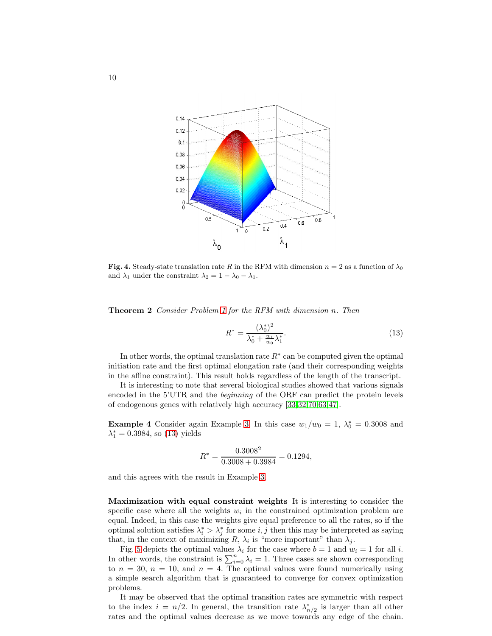

<span id="page-9-0"></span>Fig. 4. Steady-state translation rate R in the RFM with dimension  $n = 2$  as a function of  $\lambda_0$ and  $\lambda_1$  under the constraint  $\lambda_2 = 1 - \lambda_0 - \lambda_1$ .

Theorem 2 Consider Problem [1](#page-8-0) for the RFM with dimension n. Then

<span id="page-9-1"></span>
$$
R^* = \frac{(\lambda_0^*)^2}{\lambda_0^* + \frac{w_1}{w_0}\lambda_1^*}.
$$
\n(13)

In other words, the optimal translation rate  $R^*$  can be computed given the optimal initiation rate and the first optimal elongation rate (and their corresponding weights in the affine constraint). This result holds regardless of the length of the transcript.

It is interesting to note that several biological studies showed that various signals encoded in the 5'UTR and the beginning of the ORF can predict the protein levels of endogenous genes with relatively high accuracy [\[33](#page-19-5)[,32,](#page-19-14)[70](#page-20-15)[,63](#page-20-16)[,47\]](#page-19-6).

**Example 4** Consider again Example 3. In this case  $w_1/w_0 = 1$ ,  $\lambda_0^* = 0.3008$  and  $\lambda_1^* = 0.3984$ , so [\(13\)](#page-9-1) yields

$$
R^* = \frac{0.3008^2}{0.3008 + 0.3984} = 0.1294,
$$

and this agrees with the result in Example 3.

Maximization with equal constraint weights It is interesting to consider the specific case where all the weights  $w_i$  in the constrained optimization problem are equal. Indeed, in this case the weights give equal preference to all the rates, so if the optimal solution satisfies  $\lambda_i^* > \lambda_j^*$  for some  $i, j$  then this may be interpreted as saying that, in the context of maximizing R,  $\lambda_i$  is "more important" than  $\lambda_j$ .

Fig. [5](#page-10-1) depicts the optimal values  $\lambda_i$  for the case where  $b = 1$  and  $w_i = 1$  for all i. In other words, the constraint is  $\sum_{i=0}^{n} \lambda_i = 1$ . Three cases are shown corresponding to  $n = 30$ ,  $n = 10$ , and  $n = 4$ . The optimal values were found numerically using a simple search algorithm that is guaranteed to converge for convex optimization problems.

It may be observed that the optimal transition rates are symmetric with respect to the index  $i = n/2$ . In general, the transition rate  $\lambda_n^*$  $_{n/2}^*$  is larger than all other rates and the optimal values decrease as we move towards any edge of the chain.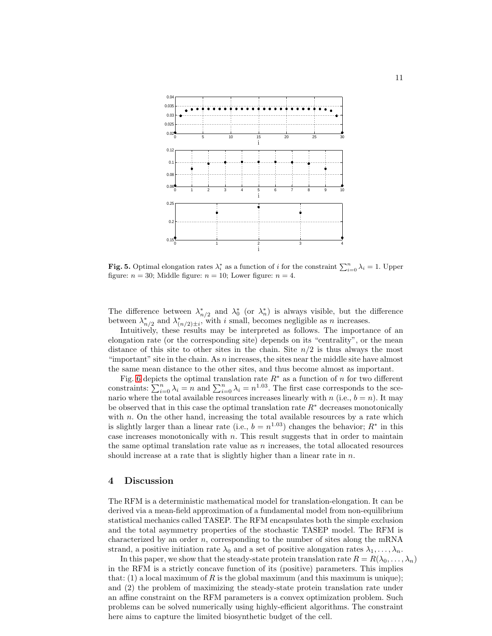

<span id="page-10-1"></span>Fig. 5. Optimal elongation rates  $\lambda_i^*$  as a function of i for the constraint  $\sum_{i=0}^n \lambda_i = 1$ . Upper figure:  $n = 30$ ; Middle figure:  $n = 10$ ; Lower figure:  $n = 4$ .

The difference between  $\lambda_n^*$  $n_{n/2}^*$  and  $\lambda_0^*$  (or  $\lambda_n^*$ ) is always visible, but the difference between  $\lambda_n^*$  $n/2$  and  $\lambda_{(n/2)\pm i}^*$ , with i small, becomes negligible as n increases.

Intuitively, these results may be interpreted as follows. The importance of an elongation rate (or the corresponding site) depends on its "centrality", or the mean distance of this site to other sites in the chain. Site  $n/2$  is thus always the most "important" site in the chain. As  $n$  increases, the sites near the middle site have almost the same mean distance to the other sites, and thus become almost as important.

Fig. [6](#page-11-0) depicts the optimal translation rate  $R^*$  as a function of n for two different constraints:  $\sum_{i=0}^{n} \lambda_i = n$  and  $\sum_{i=0}^{n} \lambda_i = n^{1.03}$ . The first case corresponds to the scenario where the total available resources increases linearly with n (i.e.,  $b = n$ ). It may be observed that in this case the optimal translation rate  $R^*$  decreases monotonically with  $n$ . On the other hand, increasing the total available resources by a rate which is slightly larger than a linear rate (i.e.,  $b = n^{1.03}$ ) changes the behavior;  $R^*$  in this case increases monotonically with  $n$ . This result suggests that in order to maintain the same optimal translation rate value as  $n$  increases, the total allocated resources should increase at a rate that is slightly higher than a linear rate in  $n$ .

## <span id="page-10-0"></span>4 Discussion

The RFM is a deterministic mathematical model for translation-elongation. It can be derived via a mean-field approximation of a fundamental model from non-equilibrium statistical mechanics called TASEP. The RFM encapsulates both the simple exclusion and the total asymmetry properties of the stochastic TASEP model. The RFM is characterized by an order  $n$ , corresponding to the number of sites along the mRNA strand, a positive initiation rate  $\lambda_0$  and a set of positive alongation rates  $\lambda_1, \ldots, \lambda_n$ .

In this paper, we show that the steady-state protein translation rate  $R = R(\lambda_0, \dots, \lambda_n)$ in the RFM is a strictly concave function of its (positive) parameters. This implies that:  $(1)$  a local maximum of R is the global maximum (and this maximum is unique); and (2) the problem of maximizing the steady-state protein translation rate under an affine constraint on the RFM parameters is a convex optimization problem. Such problems can be solved numerically using highly-efficient algorithms. The constraint here aims to capture the limited biosynthetic budget of the cell.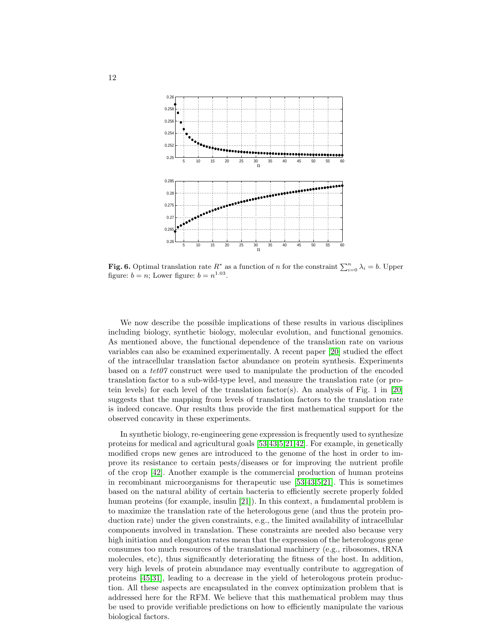

<span id="page-11-0"></span>**Fig. 6.** Optimal translation rate  $R^*$  as a function of n for the constraint  $\sum_{i=0}^{n} \lambda_i = b$ . Upper figure:  $b = n$ ; Lower figure:  $b = n^{1.03}$ .

We now describe the possible implications of these results in various disciplines including biology, synthetic biology, molecular evolution, and functional genomics. As mentioned above, the functional dependence of the translation rate on various variables can also be examined experimentally. A recent paper [\[20\]](#page-18-11) studied the effect of the intracellular translation factor abundance on protein synthesis. Experiments based on a tet07 construct were used to manipulate the production of the encoded translation factor to a sub-wild-type level, and measure the translation rate (or protein levels) for each level of the translation factor(s). An analysis of Fig. 1 in [\[20\]](#page-18-11) suggests that the mapping from levels of translation factors to the translation rate is indeed concave. Our results thus provide the first mathematical support for the observed concavity in these experiments.

In synthetic biology, re-engineering gene expression is frequently used to synthesize proteins for medical and agricultural goals [\[53,](#page-20-4)[43,](#page-19-2)[5,](#page-18-5)[21](#page-18-17)[,42\]](#page-19-15). For example, in genetically modified crops new genes are introduced to the genome of the host in order to improve its resistance to certain pests/diseases or for improving the nutrient profile of the crop [\[42\]](#page-19-15). Another example is the commercial production of human proteins in recombinant microorganisms for therapeutic use [\[53,](#page-20-4)[43,](#page-19-2)[5](#page-18-5)[,21\]](#page-18-17). This is sometimes based on the natural ability of certain bacteria to efficiently secrete properly folded human proteins (for example, insulin [\[21\]](#page-18-17)). In this context, a fundamental problem is to maximize the translation rate of the heterologous gene (and thus the protein production rate) under the given constraints, e.g., the limited availability of intracellular components involved in translation. These constraints are needed also because very high initiation and elongation rates mean that the expression of the heterologous gene consumes too much resources of the translational machinery (e.g., ribosomes, tRNA molecules, etc), thus significantly deteriorating the fitness of the host. In addition, very high levels of protein abundance may eventually contribute to aggregation of proteins [\[45](#page-19-16)[,31\]](#page-19-17), leading to a decrease in the yield of heterologous protein production. All these aspects are encapsulated in the convex optimization problem that is addressed here for the RFM. We believe that this mathematical problem may thus be used to provide verifiable predictions on how to efficiently manipulate the various biological factors.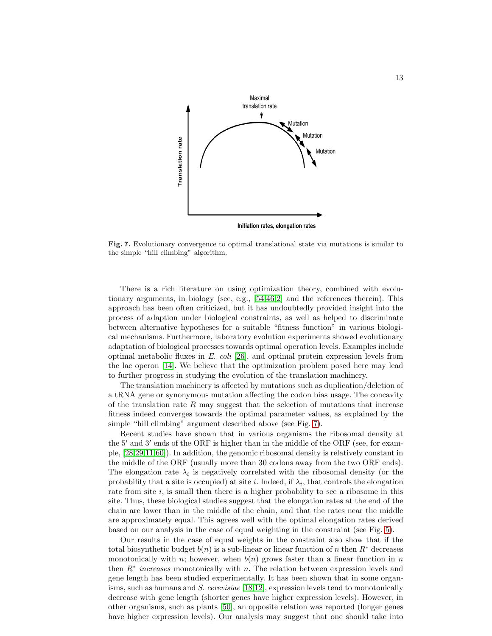

<span id="page-12-0"></span>Fig. 7. Evolutionary convergence to optimal translational state via mutations is similar to the simple "hill climbing" algorithm.

There is a rich literature on using optimization theory, combined with evolutionary arguments, in biology (see, e.g., [\[54,](#page-20-17)[46,](#page-19-18)[2\]](#page-18-18) and the references therein). This approach has been often criticized, but it has undoubtedly provided insight into the process of adaption under biological constraints, as well as helped to discriminate between alternative hypotheses for a suitable "fitness function" in various biological mechanisms. Furthermore, laboratory evolution experiments showed evolutionary adaptation of biological processes towards optimal operation levels. Examples include optimal metabolic fluxes in  $E.$  coli [\[26\]](#page-19-19), and optimal protein expression levels from the lac operon [\[14\]](#page-18-19). We believe that the optimization problem posed here may lead to further progress in studying the evolution of the translation machinery.

The translation machinery is affected by mutations such as duplication/deletion of a tRNA gene or synonymous mutation affecting the codon bias usage. The concavity of the translation rate  $R$  may suggest that the selection of mutations that increase fitness indeed converges towards the optimal parameter values, as explained by the simple "hill climbing" argument described above (see Fig. [7\)](#page-12-0).

Recent studies have shown that in various organisms the ribosomal density at the 5′ and 3′ ends of the ORF is higher than in the middle of the ORF (see, for example, [\[28,](#page-19-20)[29](#page-19-3)[,11,](#page-18-8)[60\]](#page-20-11)). In addition, the genomic ribosomal density is relatively constant in the middle of the ORF (usually more than 30 codons away from the two ORF ends). The elongation rate  $\lambda_i$  is negatively correlated with the ribosomal density (or the probability that a site is occupied) at site *i*. Indeed, if  $\lambda_i$ , that controls the elongation rate from site  $i$ , is small then there is a higher probability to see a ribosome in this site. Thus, these biological studies suggest that the elongation rates at the end of the chain are lower than in the middle of the chain, and that the rates near the middle are approximately equal. This agrees well with the optimal elongation rates derived based on our analysis in the case of equal weighting in the constraint (see Fig. [5\)](#page-10-1).

Our results in the case of equal weights in the constraint also show that if the total biosynthetic budget  $b(n)$  is a sub-linear or linear function of n then  $R^*$  decreases monotonically with n; however, when  $b(n)$  grows faster than a linear function in n then  $R^*$  increases monotonically with n. The relation between expression levels and gene length has been studied experimentally. It has been shown that in some organisms, such as humans and S. cerevisiae  $[18,12]$  $[18,12]$ , expression levels tend to monotonically decrease with gene length (shorter genes have higher expression levels). However, in other organisms, such as plants [\[50\]](#page-19-21), an opposite relation was reported (longer genes have higher expression levels). Our analysis may suggest that one should take into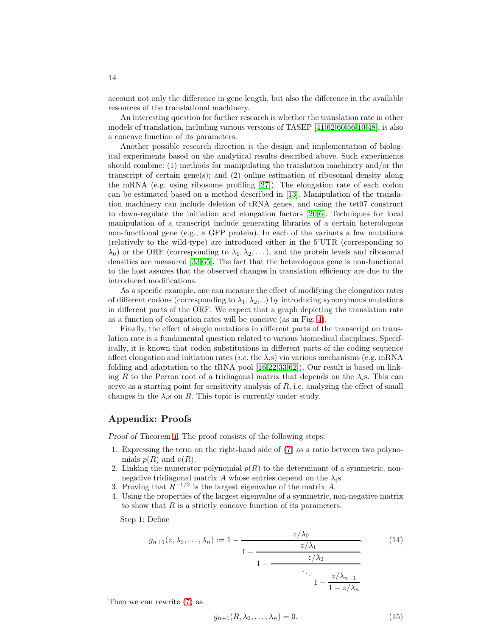account not only the difference in gene length, but also the difference in the available resources of the translational machinery.

An interesting question for further research is whether the translation rate in other models of translation, including various versions of TASEP [\[41,](#page-19-12)[62](#page-20-1)[,60](#page-20-11)[,56,](#page-20-3)[10,](#page-18-3)[48\]](#page-19-22), is also a concave function of its parameters.

Another possible research direction is the design and implementation of biological experiments based on the analytical results described above. Such experiments should combine: (1) methods for manipulating the translation machinery and/or the transcript of certain gene(s); and (2) online estimation of ribosomal density along the mRNA (e.g. using ribosome profiling [\[27\]](#page-19-23)). The elongation rate of each codon can be estimated based on a method described in [\[13\]](#page-18-7). Manipulation of the translation machinery can include deletion of tRNA genes, and using the tet07 construct to down-regulate the initiation and elongation factors [\[20](#page-18-11)[,6\]](#page-18-21). Techniques for local manipulation of a transcript include generating libraries of a certain heterologous non-functional gene (e.g., a GFP protein). In each of the variants a few mutations (relatively to the wild-type) are introduced either in the 5'UTR (corresponding to  $\lambda_0$ ) or the ORF (corresponding to  $\lambda_1, \lambda_2, \ldots$ ), and the protein levels and ribosomal densities are measured [\[33,](#page-19-5)[65\]](#page-20-18). The fact that the heterologous gene is non-functional to the host assures that the observed changes in translation efficiency are due to the introduced modifications.

As a specific example, one can measure the effect of modifying the elongation rates of different codons (corresponding to  $\lambda_1, \lambda_2, ...$ ) by introducing synonymous mutations in different parts of the ORF. We expect that a graph depicting the translation rate as a function of elongation rates will be concave (as in Fig. [4\)](#page-9-0).

Finally, the effect of single mutations in different parts of the transcript on translation rate is a fundamental question related to various biomedical disciplines. Specifically, it is known that codon substitutions in different parts of the coding sequence affect elongation and initiation rates (*i.e.* the  $\lambda_i$ s) via various mechanisms (e.g. mRNA folding and adaptation to the tRNA pool [\[16](#page-18-12)[,22,](#page-18-22)[33,](#page-19-5)[62\]](#page-20-1)). Our result is based on linking R to the Perron root of a tridiagonal matrix that depends on the  $\lambda_i$ s. This can serve as a starting point for sensitivity analysis of  $R$ , i.e. analyzing the effect of small changes in the  $\lambda_i$ s on R. This topic is currently under study.

## Appendix: Proofs

Proof of Theorem [1.](#page-6-1) The proof consists of the following steps:

- 1. Expressing the term on the right-hand side of [\(7\)](#page-5-2) as a ratio between two polynomials  $p(R)$  and  $v(R)$ .
- 2. Linking the numerator polynomial  $p(R)$  to the determinant of a symmetric, nonnegative tridiagonal matrix A whose entries depend on the  $\lambda_i$ s.
- 3. Proving that  $R^{-1/2}$  is the largest eigenvalue of the matrix A.
- 4. Using the properties of the largest eigenvalue of a symmetric, non-negative matrix to show that  $R$  is a strictly concave function of its parameters.

Step 1: Define

<span id="page-13-0"></span>
$$
g_{n+1}(z,\lambda_0,\ldots,\lambda_n) := 1 - \frac{z/\lambda_0}{1 - \frac{z/\lambda_1}{1 - \frac{z/\lambda_2}{1 - \frac{z/\lambda_{n-1}}{\lambda_0}}}}.
$$
(14)

Then we can rewrite [\(7\)](#page-5-2) as

<span id="page-13-1"></span>
$$
g_{n+1}(R, \lambda_0, \dots, \lambda_n) = 0. \tag{15}
$$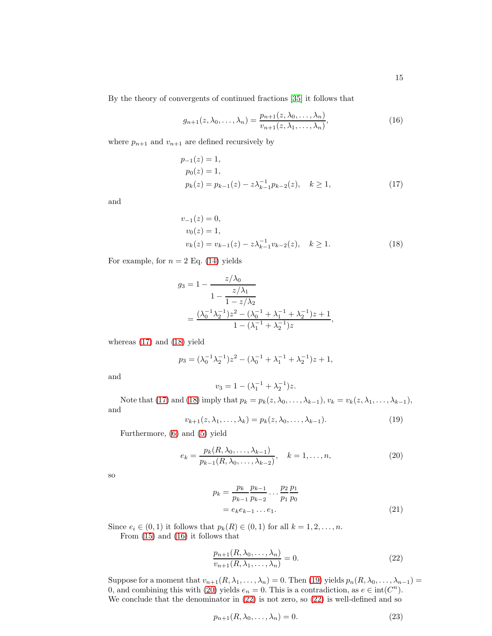By the theory of convergents of continued fractions [\[35\]](#page-19-10) it follows that

<span id="page-14-2"></span>
$$
g_{n+1}(z,\lambda_0,\ldots,\lambda_n) = \frac{p_{n+1}(z,\lambda_0,\ldots,\lambda_n)}{v_{n+1}(z,\lambda_1,\ldots,\lambda_n)},\tag{16}
$$

where  $p_{n+1}$  and  $v_{n+1}$  are defined recursively by

<span id="page-14-0"></span>
$$
p_{-1}(z) = 1,
$$
  
\n
$$
p_0(z) = 1,
$$
  
\n
$$
p_k(z) = p_{k-1}(z) - z\lambda_{k-1}^{-1}p_{k-2}(z), \quad k \ge 1,
$$
\n(17)

and

<span id="page-14-1"></span>
$$
v_{-1}(z) = 0,
$$
  
\n
$$
v_0(z) = 1,
$$
  
\n
$$
v_k(z) = v_{k-1}(z) - z\lambda_{k-1}^{-1}v_{k-2}(z), \quad k \ge 1.
$$
\n(18)

For example, for  $n = 2$  Eq. [\(14\)](#page-13-0) yields

$$
g_3 = 1 - \frac{z/\lambda_0}{1 - \frac{z/\lambda_1}{1 - z/\lambda_2}} = \frac{(\lambda_0^{-1}\lambda_2^{-1})z^2 - (\lambda_0^{-1} + \lambda_1^{-1} + \lambda_2^{-1})z + 1}{1 - (\lambda_1^{-1} + \lambda_2^{-1})z},
$$

whereas [\(17\)](#page-14-0) and [\(18\)](#page-14-1) yield

$$
p_3 = (\lambda_0^{-1} \lambda_2^{-1}) z^2 - (\lambda_0^{-1} + \lambda_1^{-1} + \lambda_2^{-1}) z + 1,
$$

and

$$
v_3 = 1 - (\lambda_1^{-1} + \lambda_2^{-1})z.
$$

Note that [\(17\)](#page-14-0) and [\(18\)](#page-14-1) imply that  $p_k = p_k(z, \lambda_0, \ldots, \lambda_{k-1}), v_k = v_k(z, \lambda_1, \ldots, \lambda_{k-1}),$ and

<span id="page-14-3"></span>
$$
v_{k+1}(z, \lambda_1, \ldots, \lambda_k) = p_k(z, \lambda_0, \ldots, \lambda_{k-1}).
$$
\n(19)

Furthermore, [\(6\)](#page-5-1) and [\(5\)](#page-5-0) yield

<span id="page-14-4"></span>
$$
e_k = \frac{p_k(R, \lambda_0, \dots, \lambda_{k-1})}{p_{k-1}(R, \lambda_0, \dots, \lambda_{k-2})}, \quad k = 1, \dots, n,
$$
\n
$$
(20)
$$

so

<span id="page-14-7"></span>
$$
p_k = \frac{p_k}{p_{k-1}} \frac{p_{k-1}}{p_{k-2}} \dots \frac{p_2}{p_1} \frac{p_1}{p_0}
$$
  
=  $e_k e_{k-1} \dots e_1$ . (21)

Since  $e_i \in (0,1)$  it follows that  $p_k(R) \in (0,1)$  for all  $k = 1,2,\ldots,n$ . From [\(15\)](#page-13-1) and [\(16\)](#page-14-2) it follows that

<span id="page-14-5"></span>
$$
\frac{p_{n+1}(R,\lambda_0,\ldots,\lambda_n)}{v_{n+1}(R,\lambda_1,\ldots,\lambda_n)} = 0.
$$
\n(22)

Suppose for a moment that  $v_{n+1}(R, \lambda_1, \ldots, \lambda_n) = 0$ . Then [\(19\)](#page-14-3) yields  $p_n(R, \lambda_0, \ldots, \lambda_{n-1}) =$ 0, and combining this with [\(20\)](#page-14-4) yields  $e_n = 0$ . This is a contradiction, as  $e \in \text{int}(C^n)$ . We conclude that the denominator in [\(22\)](#page-14-5) is not zero, so [\(22\)](#page-14-5) is well-defined and so

<span id="page-14-6"></span>
$$
p_{n+1}(R, \lambda_0, \dots, \lambda_n) = 0. \tag{23}
$$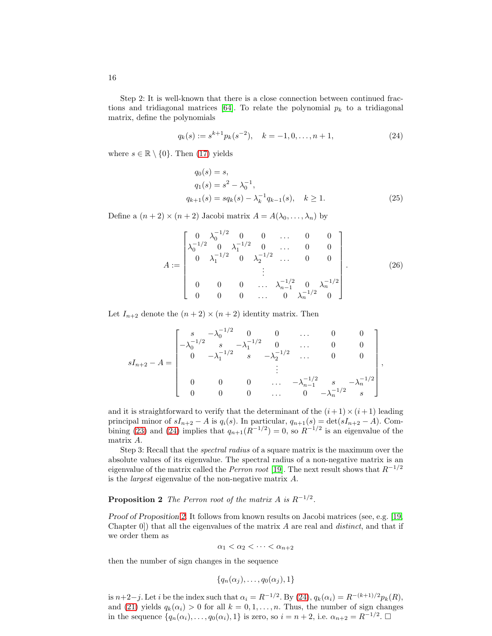Step 2: It is well-known that there is a close connection between continued frac-tions and tridiagonal matrices [\[64\]](#page-20-19). To relate the polynomial  $p_k$  to a tridiagonal matrix, define the polynomials

<span id="page-15-0"></span>
$$
q_k(s) := s^{k+1} p_k(s^{-2}), \quad k = -1, 0, \dots, n+1,
$$
\n(24)

where  $s \in \mathbb{R} \setminus \{0\}$ . Then [\(17\)](#page-14-0) yields

$$
q_0(s) = s,q_1(s) = s^2 - \lambda_0^{-1},q_{k+1}(s) = sq_k(s) - \lambda_k^{-1}q_{k-1}(s), \quad k \ge 1.
$$
 (25)

Define a  $(n+2) \times (n+2)$  Jacobi matrix  $A = A(\lambda_0, \dots, \lambda_n)$  by

<span id="page-15-2"></span>
$$
A := \begin{bmatrix} 0 & \lambda_0^{-1/2} & 0 & 0 & \dots & 0 & 0 \\ \lambda_0^{-1/2} & 0 & \lambda_1^{-1/2} & 0 & \dots & 0 & 0 \\ 0 & \lambda_1^{-1/2} & 0 & \lambda_2^{-1/2} & \dots & 0 & 0 \\ & & & & \vdots & & \\ 0 & 0 & 0 & \dots & \lambda_{n-1}^{-1/2} & 0 & \lambda_n^{-1/2} \\ 0 & 0 & 0 & \dots & 0 & \lambda_n^{-1/2} & 0 \end{bmatrix} .
$$
 (26)

Let  $I_{n+2}$  denote the  $(n+2) \times (n+2)$  identity matrix. Then

$$
sI_{n+2}-A=\begin{bmatrix} s & -\lambda_0^{-1/2} & 0 & 0 & \cdots & 0 & 0 \\ -\lambda_0^{-1/2} & s & -\lambda_1^{-1/2} & 0 & \cdots & 0 & 0 \\ 0 & -\lambda_1^{-1/2} & s & -\lambda_2^{-1/2} & \cdots & 0 & 0 \\ & & \vdots & & & \\ 0 & 0 & 0 & \cdots & -\lambda_{n-1}^{-1/2} & s & -\lambda_n^{-1/2} \\ 0 & 0 & 0 & \cdots & 0 & -\lambda_n^{-1/2} & s \end{bmatrix},
$$

and it is straightforward to verify that the determinant of the  $(i+1)\times(i+1)$  leading principal minor of  $sI_{n+2} - A$  is  $q_i(s)$ . In particular,  $q_{n+1}(s) = \det(sI_{n+2} - A)$ . Com-bining [\(23\)](#page-14-6) and [\(24\)](#page-15-0) implies that  $q_{n+1}(R^{-1/2}) = 0$ , so  $R^{-1/2}$  is an eigenvalue of the matrix A.

Step 3: Recall that the spectral radius of a square matrix is the maximum over the absolute values of its eigenvalue. The spectral radius of a non-negative matrix is an eigenvalue of the matrix called the *Perron root* [\[19\]](#page-18-23). The next result shows that  $R^{-1/2}$ is the largest eigenvalue of the non-negative matrix A.

## <span id="page-15-1"></span>**Proposition 2** The Perron root of the matrix A is  $R^{-1/2}$ .

Proof of Proposition [2.](#page-15-1) It follows from known results on Jacobi matrices (see, e.g. [\[19,](#page-18-23) Chapter  $[0]$ ) that all the eigenvalues of the matrix A are real and *distinct*, and that if we order them as

$$
\alpha_1<\alpha_2<\cdots<\alpha_{n+2}
$$

then the number of sign changes in the sequence

$$
\{q_n(\alpha_j),\ldots,q_0(\alpha_j),1\}
$$

is  $n+2-j$ . Let *i* be the index such that  $\alpha_i = R^{-1/2}$ . By [\(24\)](#page-15-0),  $q_k(\alpha_i) = R^{-(k+1)/2} p_k(R)$ , and [\(21\)](#page-14-7) yields  $q_k(\alpha_i) > 0$  for all  $k = 0, 1, \ldots, n$ . Thus, the number of sign changes in the sequence  $\{q_n(\alpha_i), \ldots, q_0(\alpha_i), 1\}$  is zero, so  $i = n + 2$ , i.e.  $\alpha_{n+2} = R^{-1/2}$ .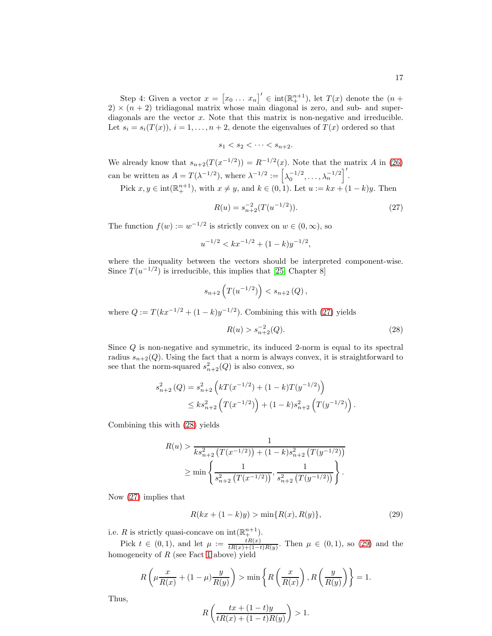Step 4: Given a vector  $x = [x_0 \dots x_n]' \in int(\mathbb{R}^{n+1}_+)$ , let  $T(x)$  denote the  $(n +$  $2) \times (n+2)$  tridiagonal matrix whose main diagonal is zero, and sub- and superdiagonals are the vector  $x$ . Note that this matrix is non-negative and irreducible. Let  $s_i = s_i(T(x))$ ,  $i = 1, ..., n + 2$ , denote the eigenvalues of  $T(x)$  ordered so that

$$
s_1 < s_2 < \cdots < s_{n+2}.
$$

We already know that  $s_{n+2}(T(x^{-1/2})) = R^{-1/2}(x)$ . Note that the matrix A in [\(26\)](#page-15-2) can be written as  $A = T(\lambda^{-1/2})$ , where  $\lambda^{-1/2} := \left[\lambda_0^{-1/2}, \ldots, \lambda_n^{-1/2}\right]^T$ .

Pick  $x, y \in \text{int}(\mathbb{R}^{n+1}_+)$ , with  $x \neq y$ , and  $k \in (0, 1)$ . Let  $u := kx + (1 - k)y$ . Then

<span id="page-16-0"></span>
$$
R(u) = s_{n+2}^{-2}(T(u^{-1/2})).
$$
\n(27)

The function  $f(w) := w^{-1/2}$  is strictly convex on  $w \in (0, \infty)$ , so

$$
u^{-1/2} < kx^{-1/2} + (1 - k)y^{-1/2},
$$

where the inequality between the vectors should be interpreted component-wise. Since  $T(u^{-1/2})$  is irreducible, this implies that [\[25,](#page-18-24) Chapter 8]

$$
s_{n+2}\left(T(u^{-1/2})\right) < s_{n+2}(Q) \,,
$$

where  $Q := T(kx^{-1/2} + (1 - k)y^{-1/2})$ . Combining this with [\(27\)](#page-16-0) yields

<span id="page-16-1"></span>
$$
R(u) > s_{n+2}^{-2}(Q). \tag{28}
$$

Since Q is non-negative and symmetric, its induced 2-norm is equal to its spectral radius  $s_{n+2}(Q)$ . Using the fact that a norm is always convex, it is straightforward to see that the norm-squared  $s_{n+2}^2(Q)$  is also convex, so

$$
s_{n+2}^2(Q) = s_{n+2}^2 \left( kT(x^{-1/2}) + (1 - k)T(y^{-1/2}) \right)
$$
  
 
$$
\leq k s_{n+2}^2 \left( T(x^{-1/2}) \right) + (1 - k)s_{n+2}^2 \left( T(y^{-1/2}) \right).
$$

Combining this with [\(28\)](#page-16-1) yields

$$
R(u) > \frac{1}{ks_{n+2}^2 (T(x^{-1/2})) + (1-k)s_{n+2}^2 (T(y^{-1/2}))}
$$
  
 
$$
\geq \min \left\{ \frac{1}{s_{n+2}^2 (T(x^{-1/2}))}, \frac{1}{s_{n+2}^2 (T(y^{-1/2}))} \right\}.
$$

Now [\(27\)](#page-16-0) implies that

<span id="page-16-2"></span>
$$
R(kx + (1 - k)y) > \min\{R(x), R(y)\},\tag{29}
$$

i.e. R is strictly quasi-concave on  $\text{int}(\mathbb{R}^{n+1}_+)$ .

Pick  $t \in (0,1)$ , and let  $\mu := \frac{tR(x)}{tR(x)+(1-t)R(y)}$ . Then  $\mu \in (0,1)$ , so [\(29\)](#page-16-2) and the homogeneity of  $R$  (see Fact [1](#page-6-2) above) yield

$$
R\left(\mu \frac{x}{R(x)} + (1 - \mu) \frac{y}{R(y)}\right) > \min\left\{R\left(\frac{x}{R(x)}\right), R\left(\frac{y}{R(y)}\right)\right\} = 1.
$$

Thus,

$$
R\left(\frac{tx+(1-t)y}{tR(x)+(1-t)R(y)}\right) > 1.
$$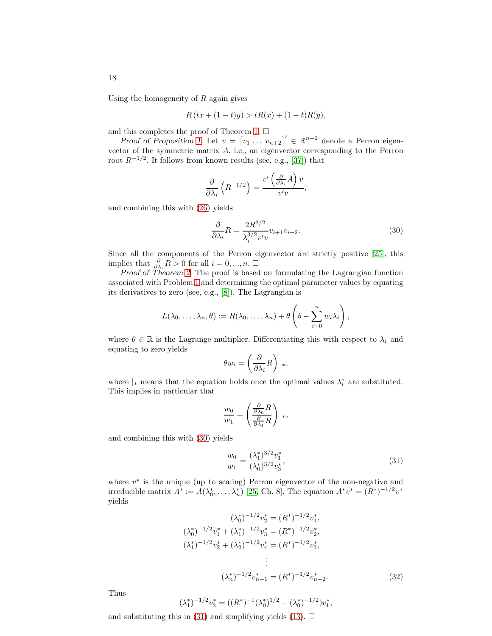Using the homogeneity of  $R$  again gives

$$
R(tx + (1-t)y) > tR(x) + (1-t)R(y),
$$

and this completes the proof of Theorem [1.](#page-6-1)  $\Box$ 

Proof of Proposition [1.](#page-8-1) Let  $v = [v_1 \dots v_{n+2}]' \in \mathbb{R}^{n+2}_+$  denote a Perron eigenvector of the symmetric matrix A, i.e., an eigenvector corresponding to the Perron root  $R^{-1/2}$ . It follows from known results (see, e.g., [\[37\]](#page-19-24)) that

$$
\frac{\partial}{\partial \lambda_i} \left( R^{-1/2} \right) = \frac{v' \left( \frac{\partial}{\partial \lambda_i} A \right) v}{v' v},
$$

and combining this with [\(26\)](#page-15-2) yields

<span id="page-17-0"></span>
$$
\frac{\partial}{\partial \lambda_i} R = \frac{2R^{3/2}}{\lambda_i^{3/2} v' v} v_{i+1} v_{i+2}.
$$
\n(30)

Since all the components of the Perron eigenvector are strictly positive [\[25\]](#page-18-24), this implies that  $\frac{\partial}{\partial \lambda_i} R > 0$  for all  $i = 0, ..., n$ .  $\Box$ 

Proof of Theorem [2.](#page-8-3) The proof is based on formulating the Lagrangian function associated with Problem [1](#page-8-0) and determining the optimal parameter values by equating its derivatives to zero (see, e.g., [\[8\]](#page-18-10)). The Lagrangian is

$$
L(\lambda_0,\ldots,\lambda_n,\theta) := R(\lambda_0,\ldots,\lambda_n) + \theta\left(b - \sum_{i=0}^n w_i\lambda_i\right),
$$

where  $\theta \in \mathbb{R}$  is the Lagrange multiplier. Differentiating this with respect to  $\lambda_i$  and equating to zero yields

$$
\theta w_i = \left(\frac{\partial}{\partial \lambda_i} R\right)|_*,
$$

where  $|_*$  means that the equation holds once the optimal values  $\lambda_i^*$  are substituted. This implies in particular that

$$
\frac{w_0}{w_1} = \left(\frac{\frac{\partial}{\partial \lambda_0}R}{\frac{\partial}{\partial \lambda_1}R}\right)|_*,
$$

and combining this with [\(30\)](#page-17-0) yields

<span id="page-17-1"></span>
$$
\frac{w_0}{w_1} = \frac{(\lambda_1^*)^{3/2} v_1^*}{(\lambda_0^*)^{3/2} v_3^*},\tag{31}
$$

where  $v^*$  is the unique (up to scaling) Perron eigenvector of the non-negative and irreducible matrix  $A^* := A(\lambda_0^*, \dots, \lambda_n^*)$  [\[25,](#page-18-24) Ch. 8]. The equation  $A^*v^* = (R^*)^{-1/2}v^*$ yields

$$
(\lambda_0^*)^{-1/2} v_2^* = (R^*)^{-1/2} v_1^*,
$$
  
\n
$$
(\lambda_0^*)^{-1/2} v_1^* + (\lambda_1^*)^{-1/2} v_3^* = (R^*)^{-1/2} v_2^*,
$$
  
\n
$$
(\lambda_1^*)^{-1/2} v_2^* + (\lambda_2^*)^{-1/2} v_4^* = (R^*)^{-1/2} v_3^*,
$$
  
\n
$$
\vdots
$$
  
\n
$$
(\lambda_n^*)^{-1/2} v_{n+1}^* = (R^*)^{-1/2} v_{n+2}^*.
$$
\n(32)

Thus

$$
(\lambda_1^*)^{-1/2} v_3^* = ((R^*)^{-1} (\lambda_0^*)^{1/2} - (\lambda_0^*)^{-1/2}) v_1^*,
$$

and substituting this in [\(31\)](#page-17-1) and simplifying yields [\(13\)](#page-9-1).  $\Box$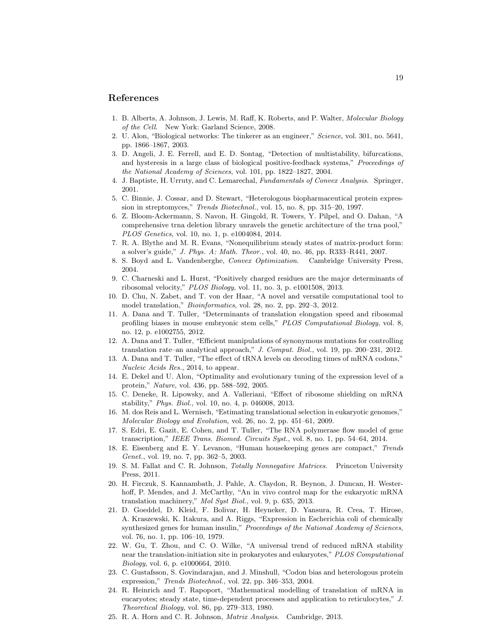### <span id="page-18-0"></span>References

- <span id="page-18-18"></span>1. B. Alberts, A. Johnson, J. Lewis, M. Raff, K. Roberts, and P. Walter, *Molecular Biology of the Cell*. New York: Garland Science, 2008.
- 2. U. Alon, "Biological networks: The tinkerer as an engineer," *Science*, vol. 301, no. 5641, pp. 1866–1867, 2003.
- <span id="page-18-14"></span>3. D. Angeli, J. E. Ferrell, and E. D. Sontag, "Detection of multistability, bifurcations, and hysteresis in a large class of biological positive-feedback systems," *Proceedings of the National Academy of Sciences*, vol. 101, pp. 1822–1827, 2004.
- <span id="page-18-16"></span><span id="page-18-5"></span>4. J. Baptiste, H. Urruty, and C. Lemarechal, *Fundamentals of Convex Analysis*. Springer, 2001.
- 5. C. Binnie, J. Cossar, and D. Stewart, "Heterologous biopharmaceutical protein expression in streptomyces," *Trends Biotechnol.*, vol. 15, no. 8, pp. 315–20, 1997.
- <span id="page-18-21"></span>6. Z. Bloom-Ackermann, S. Navon, H. Gingold, R. Towers, Y. Pilpel, and O. Dahan, "A comprehensive trna deletion library unravels the genetic architecture of the trna pool," *PLOS Genetics*, vol. 10, no. 1, p. e1004084, 2014.
- <span id="page-18-6"></span>7. R. A. Blythe and M. R. Evans, "Nonequilibrium steady states of matrix-product form: a solver's guide," *J. Phys. A: Math. Theor.*, vol. 40, no. 46, pp. R333–R441, 2007.
- <span id="page-18-10"></span><span id="page-18-9"></span>8. S. Boyd and L. Vandenberghe, *Convex Optimization*. Cambridge University Press, 2004.
- 9. C. Charneski and L. Hurst, "Positively charged residues are the major determinants of ribosomal velocity," *PLOS Biology*, vol. 11, no. 3, p. e1001508, 2013.
- <span id="page-18-3"></span>10. D. Chu, N. Zabet, and T. von der Haar, "A novel and versatile computational tool to model translation," *Bioinformatics*, vol. 28, no. 2, pp. 292–3, 2012.
- <span id="page-18-8"></span>11. A. Dana and T. Tuller, "Determinants of translation elongation speed and ribosomal profiling biases in mouse embryonic stem cells," *PLOS Computational Biology*, vol. 8, no. 12, p. e1002755, 2012.
- <span id="page-18-1"></span>12. A. Dana and T. Tuller, "Efficient manipulations of synonymous mutations for controlling translation rate–an analytical approach," *J. Comput. Biol.*, vol. 19, pp. 200–231, 2012.
- <span id="page-18-7"></span>13. A. Dana and T. Tuller, "The effect of tRNA levels on decoding times of mRNA codons," *Nucleic Acids Res.*, 2014, to appear.
- <span id="page-18-19"></span>14. E. Dekel and U. Alon, "Optimality and evolutionary tuning of the expression level of a protein," *Nature*, vol. 436, pp. 588–592, 2005.
- <span id="page-18-4"></span>15. C. Deneke, R. Lipowsky, and A. Valleriani, "Effect of ribosome shielding on mRNA stability," *Phys. Biol.*, vol. 10, no. 4, p. 046008, 2013.
- <span id="page-18-12"></span>16. M. dos Reis and L. Wernisch, "Estimating translational selection in eukaryotic genomes," *Molecular Biology and Evolution*, vol. 26, no. 2, pp. 451–61, 2009.
- <span id="page-18-15"></span>17. S. Edri, E. Gazit, E. Cohen, and T. Tuller, "The RNA polymerase flow model of gene transcription," *IEEE Trans. Biomed. Circuits Syst.*, vol. 8, no. 1, pp. 54–64, 2014.
- <span id="page-18-20"></span>18. E. Eisenberg and E. Y. Levanon, "Human housekeeping genes are compact," *Trends Genet.*, vol. 19, no. 7, pp. 362–5, 2003.
- <span id="page-18-23"></span>19. S. M. Fallat and C. R. Johnson, *Totally Nonnegative Matrices*. Princeton University Press, 2011.
- <span id="page-18-11"></span>20. H. Firczuk, S. Kannambath, J. Pahle, A. Claydon, R. Beynon, J. Duncan, H. Westerhoff, P. Mendes, and J. McCarthy, "An in vivo control map for the eukaryotic mRNA translation machinery," *Mol Syst Biol.*, vol. 9, p. 635, 2013.
- <span id="page-18-17"></span>21. D. Goeddel, D. Kleid, F. Bolivar, H. Heyneker, D. Yansura, R. Crea, T. Hirose, A. Kraszewski, K. Itakura, and A. Riggs, "Expression in Escherichia coli of chemically synthesized genes for human insulin," *Proceedings of the National Academy of Sciences*, vol. 76, no. 1, pp. 106–10, 1979.
- <span id="page-18-22"></span>22. W. Gu, T. Zhou, and C. O. Wilke, "A universal trend of reduced mRNA stability near the translation-initiation site in prokaryotes and eukaryotes," *PLOS Computational Biology*, vol. 6, p. e1000664, 2010.
- <span id="page-18-13"></span>23. C. Gustafsson, S. Govindarajan, and J. Minshull, "Codon bias and heterologous protein expression," *Trends Biotechnol.*, vol. 22, pp. 346–353, 2004.
- <span id="page-18-2"></span>24. R. Heinrich and T. Rapoport, "Mathematical modelling of translation of mRNA in eucaryotes; steady state, time-dependent processes and application to reticulocytes," *J. Theoretical Biology*, vol. 86, pp. 279–313, 1980.
- <span id="page-18-24"></span>25. R. A. Horn and C. R. Johnson, *Matrix Analysis*. Cambridge, 2013.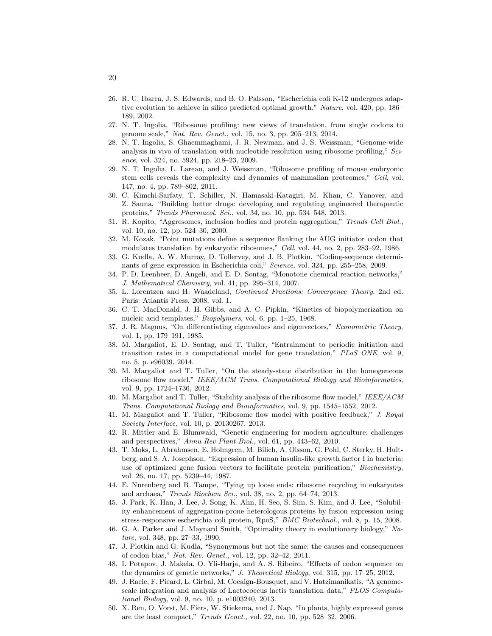- <span id="page-19-19"></span>26. R. U. Ibarra, J. S. Edwards, and B. O. Palsson, "Escherichia coli K-12 undergoes adaptive evolution to achieve in silico predicted optimal growth," *Nature*, vol. 420, pp. 186– 189, 2002.
- <span id="page-19-23"></span>27. N. T. Ingolia, "Ribosome profiling: new views of translation, from single codons to genome scale," *Nat. Rev. Genet.*, vol. 15, no. 3, pp. 205–213, 2014.
- <span id="page-19-20"></span>28. N. T. Ingolia, S. Ghaemmaghami, J. R. Newman, and J. S. Weissman, "Genome-wide analysis in vivo of translation with nucleotide resolution using ribosome profiling," *Science*, vol. 324, no. 5924, pp. 218–23, 2009.
- <span id="page-19-3"></span>29. N. T. Ingolia, L. Lareau, and J. Weissman, "Ribosome profiling of mouse embryonic stem cells reveals the complexity and dynamics of mammalian proteomes," *Cell*, vol. 147, no. 4, pp. 789–802, 2011.
- <span id="page-19-7"></span>30. C. Kimchi-Sarfaty, T. Schiller, N. Hamasaki-Katagiri, M. Khan, C. Yanover, and Z. Sauna, "Building better drugs: developing and regulating engineered therapeutic proteins," *Trends Pharmacol. Sci.*, vol. 34, no. 10, pp. 534–548, 2013.
- <span id="page-19-17"></span>31. R. Kopito, "Aggresomes, inclusion bodies and protein aggregation," *Trends Cell Biol.*, vol. 10, no. 12, pp. 524–30, 2000.
- <span id="page-19-14"></span><span id="page-19-5"></span>32. M. Kozak, "Point mutations define a sequence flanking the AUG initiator codon that modulates translation by eukaryotic ribosomes," *Cell*, vol. 44, no. 2, pp. 283–92, 1986.
- 33. G. Kudla, A. W. Murray, D. Tollervey, and J. B. Plotkin, "Coding-sequence determinants of gene expression in Escherichia coli," *Science*, vol. 324, pp. 255–258, 2009.
- <span id="page-19-9"></span>34. P. D. Leenheer, D. Angeli, and E. D. Sontag, "Monotone chemical reaction networks," *J. Mathematical Chemistry*, vol. 41, pp. 295–314, 2007.
- <span id="page-19-10"></span>35. L. Lorentzen and H. Waadeland, *Continued Fractions: Convergence Theory*, 2nd ed. Paris: Atlantis Press, 2008, vol. 1.
- <span id="page-19-0"></span>36. C. T. MacDonald, J. H. Gibbs, and A. C. Pipkin, "Kinetics of biopolymerization on nucleic acid templates," *Biopolymers*, vol. 6, pp. 1–25, 1968.
- <span id="page-19-24"></span>37. J. R. Magnus, "On differentiating eigenvalues and eigenvectors," *Econometric Theory*, vol. 1, pp. 179–191, 1985.
- <span id="page-19-13"></span>38. M. Margaliot, E. D. Sontag, and T. Tuller, "Entrainment to periodic initiation and transition rates in a computational model for gene translation," *PLoS ONE*, vol. 9, no. 5, p. e96039, 2014.
- <span id="page-19-4"></span>39. M. Margaliot and T. Tuller, "On the steady-state distribution in the homogeneous ribosome flow model," *IEEE/ACM Trans. Computational Biology and Bioinformatics*, vol. 9, pp. 1724–1736, 2012.
- <span id="page-19-8"></span>40. M. Margaliot and T. Tuller, "Stability analysis of the ribosome flow model," *IEEE/ACM Trans. Computational Biology and Bioinformatics*, vol. 9, pp. 1545–1552, 2012.
- <span id="page-19-12"></span>41. M. Margaliot and T. Tuller, "Ribosome flow model with positive feedback," *J. Royal Society Interface*, vol. 10, p. 20130267, 2013.
- <span id="page-19-15"></span>42. R. Mittler and E. Blumwald, "Genetic engineering for modern agriculture: challenges and perspectives," *Annu Rev Plant Biol.*, vol. 61, pp. 443–62, 2010.
- <span id="page-19-2"></span>43. T. Moks, L. Abrahmsen, E. Holmgren, M. Bilich, A. Olsson, G. Pohl, C. Sterky, H. Hultberg, and S. A. Josephson, "Expression of human insulin-like growth factor I in bacteria: use of optimized gene fusion vectors to facilitate protein purification," *Biochemistry*, vol. 26, no. 17, pp. 5239–44, 1987.
- <span id="page-19-11"></span>44. E. Nurenberg and R. Tampe, "Tying up loose ends: ribosome recycling in eukaryotes and archaea," *Trends Biochem Sci.*, vol. 38, no. 2, pp. 64–74, 2013.
- <span id="page-19-16"></span>45. J. Park, K. Han, J. Lee, J. Song, K. Ahn, H. Seo, S. Sim, S. Kim, and J. Lee, "Solubility enhancement of aggregation-prone heterologous proteins by fusion expression using stress-responsive escherichia coli protein, RpoS," *BMC Biotechnol.*, vol. 8, p. 15, 2008.
- <span id="page-19-18"></span>46. G. A. Parker and J. Maynard Smith, "Optimality theory in evolutionary biology," *Nature*, vol. 348, pp. 27–33, 1990.
- <span id="page-19-6"></span>47. J. Plotkin and G. Kudla, "Synonymous but not the same: the causes and consequences of codon bias," *Nat. Rev. Genet.*, vol. 12, pp. 32–42, 2011.
- <span id="page-19-22"></span>48. I. Potapov, J. Makela, O. Yli-Harja, and A. S. Ribeiro, "Effects of codon sequence on the dynamics of genetic networks," *J. Theoretical Biology*, vol. 315, pp. 17–25, 2012.
- <span id="page-19-1"></span>49. J. Racle, F. Picard, L. Girbal, M. Cocaign-Bousquet, and V. Hatzimanikatis, "A genomescale integration and analysis of Lactococcus lactis translation data," *PLOS Computational Biology*, vol. 9, no. 10, p. e1003240, 2013.
- <span id="page-19-21"></span>50. X. Ren, O. Vorst, M. Fiers, W. Stiekema, and J. Nap, "In plants, highly expressed genes are the least compact," *Trends Genet.*, vol. 22, no. 10, pp. 528–32, 2006.